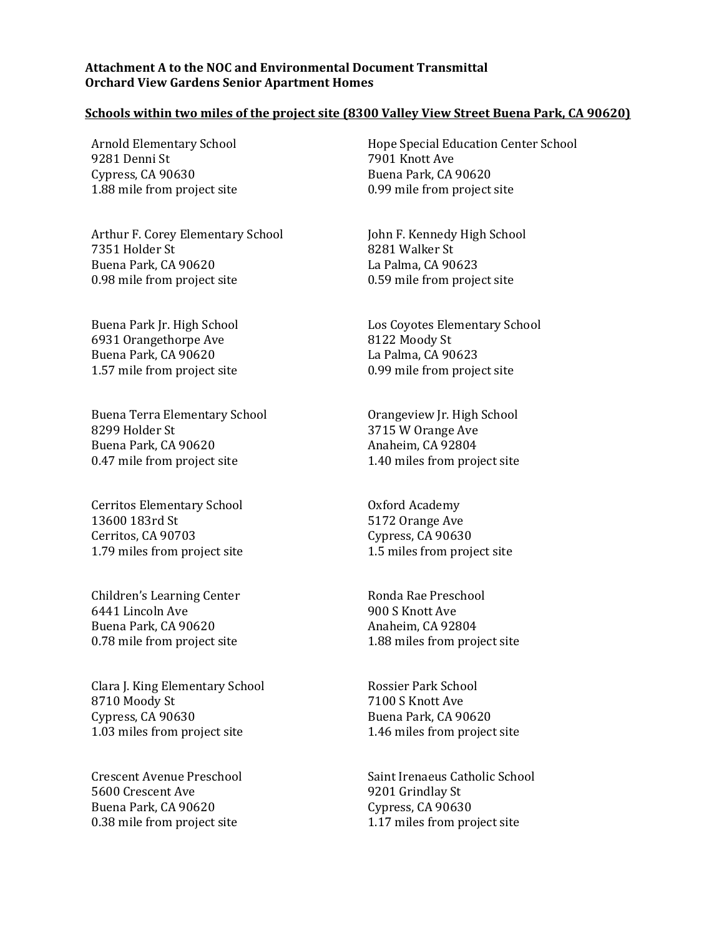## **Attachment A to the NOC and Environmental Document Transmittal Orchard View Gardens Senior Apartment Homes**

## **Schools within two miles of the project site (8300 Valley View Street Buena Park, CA 90620)**

Arnold Elementary School 9281 Denni St Cypress, CA 90630 1.88 mile from project site

Arthur F. Corey Elementary School 7351 Holder St Buena Park, CA 90620 0.98 mile from project site

Buena Park Jr. High School 6931 Orangethorpe Ave Buena Park, CA 90620 1.57 mile from project site

Buena Terra Elementary School 8299 Holder St Buena Park, CA 90620 0.47 mile from project site

Cerritos Elementary School 13600 183rd St Cerritos, CA 90703 1.79 miles from project site

Children's Learning Center 6441 Lincoln Ave Buena Park, CA 90620 0.78 mile from project site

Clara J. King Elementary School 8710 Moody St Cypress, CA 90630 1.03 miles from project site

Crescent Avenue Preschool 5600 Crescent Ave Buena Park, CA 90620 0.38 mile from project site

Hope Special Education Center School 7901 Knott Ave Buena Park, CA 90620 0.99 mile from project site

John F. Kennedy High School 8281 Walker St La Palma, CA 90623 0.59 mile from project site

Los Coyotes Elementary School 8122 Moody St La Palma, CA 90623 0.99 mile from project site

Orangeview Jr. High School 3715 W Orange Ave Anaheim, CA 92804 1.40 miles from project site

Oxford Academy 5172 Orange Ave Cypress, CA 90630 1.5 miles from project site

Ronda Rae Preschool 900 S Knott Ave Anaheim, CA 92804 1.88 miles from project site

Rossier Park School 7100 S Knott Ave Buena Park, CA 90620 1.46 miles from project site

Saint Irenaeus Catholic School 9201 Grindlay St Cypress, CA 90630 1.17 miles from project site